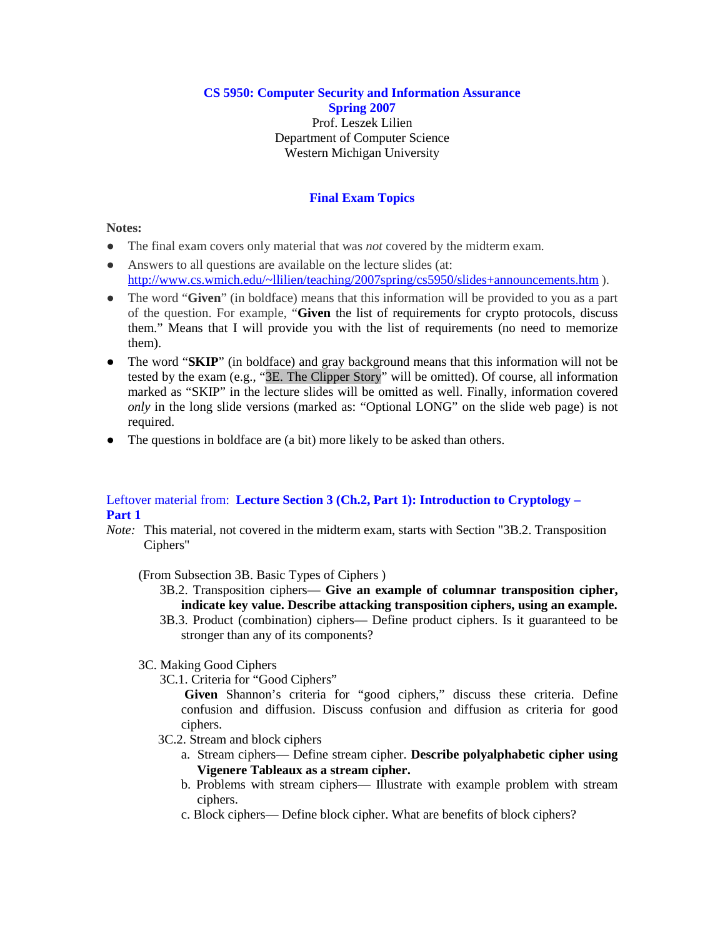**CS 5950: Computer Security and Information Assurance Spring 2007** Prof. Leszek Lilien Department of Computer Science Western Michigan University

# **Final Exam Topics**

### **Notes:**

- The final exam covers only material that was *not* covered by the midterm exam.
- Answers to all questions are available on the lecture slides (at: http://www.cs.wmich.edu/~llilien/teaching/2007spring/cs5950/slides+announcements.htm ).
- The word "**Given**" (in boldface) means that this information will be provided to you as a part of the question. For example, "**Given** the list of requirements for crypto protocols, discuss them." Means that I will provide you with the list of requirements (no need to memorize them).
- The word "**SKIP**" (in boldface) and gray background means that this information will not be tested by the exam (e.g., "3E. The Clipper Story" will be omitted). Of course, all information marked as "SKIP" in the lecture slides will be omitted as well. Finally, information covered *only* in the long slide versions (marked as: "Optional LONG" on the slide web page) is not required.
- The questions in boldface are (a bit) more likely to be asked than others.

## Leftover material from: **Lecture Section 3 (Ch.2, Part 1): Introduction to Cryptology – Part 1**

*Note:* This material, not covered in the midterm exam, starts with Section "3B.2. Transposition Ciphers"

(From Subsection 3B. Basic Types of Ciphers )

3B.2. Transposition ciphers— **Give an example of columnar transposition cipher, indicate key value. Describe attacking transposition ciphers, using an example.**

- 3B.3. Product (combination) ciphers— Define product ciphers. Is it guaranteed to be stronger than any of its components?
- 3C. Making Good Ciphers
	- 3C.1. Criteria for "Good Ciphers"

 **Given** Shannon's criteria for "good ciphers," discuss these criteria. Define confusion and diffusion. Discuss confusion and diffusion as criteria for good ciphers.

- 3C.2. Stream and block ciphers
	- a. Stream ciphers— Define stream cipher. **Describe polyalphabetic cipher using Vigenere Tableaux as a stream cipher.**
	- b. Problems with stream ciphers— Illustrate with example problem with stream ciphers.
	- c. Block ciphers— Define block cipher. What are benefits of block ciphers?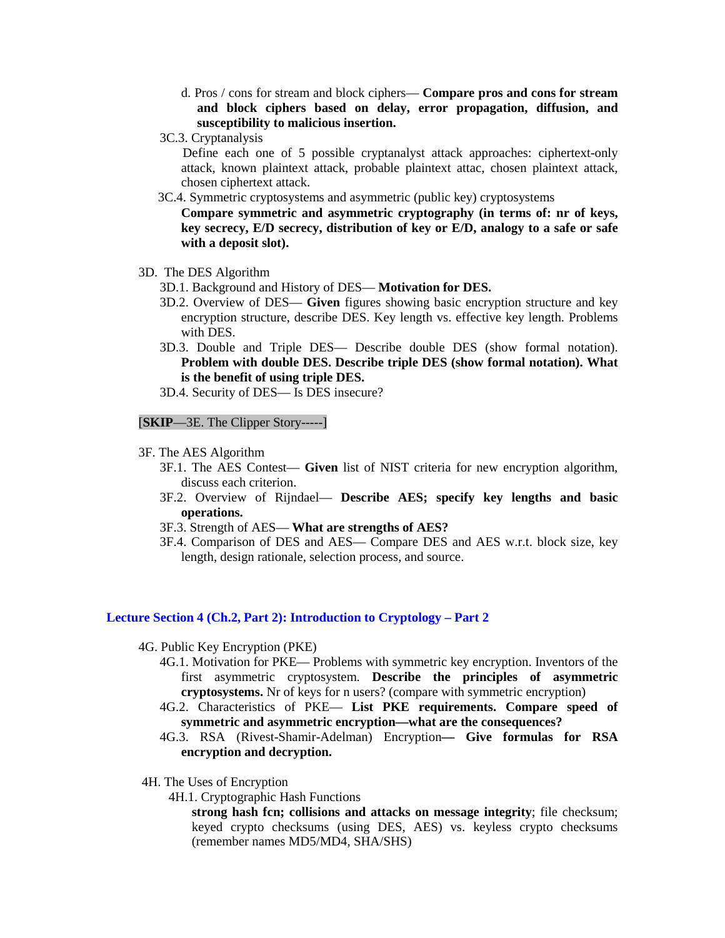- d. Pros / cons for stream and block ciphers— **Compare pros and cons for stream and block ciphers based on delay, error propagation, diffusion, and susceptibility to malicious insertion.**
- 3C.3. Cryptanalysis

 Define each one of 5 possible cryptanalyst attack approaches: ciphertext-only attack, known plaintext attack, probable plaintext attac, chosen plaintext attack, chosen ciphertext attack.

3C.4. Symmetric cryptosystems and asymmetric (public key) cryptosystems

 **Compare symmetric and asymmetric cryptography (in terms of: nr of keys, key secrecy, E/D secrecy, distribution of key or E/D, analogy to a safe or safe with a deposit slot).** 

- 3D. The DES Algorithm
	- 3D.1. Background and History of DES— **Motivation for DES.**
	- 3D.2. Overview of DES— **Given** figures showing basic encryption structure and key encryption structure, describe DES. Key length vs. effective key length. Problems with DES.
	- 3D.3. Double and Triple DES— Describe double DES (show formal notation). **Problem with double DES. Describe triple DES (show formal notation). What is the benefit of using triple DES.**

3D.4. Security of DES— Is DES insecure?

[**SKIP**—3E. The Clipper Story-----]

- 3F. The AES Algorithm
	- 3F.1. The AES Contest— **Given** list of NIST criteria for new encryption algorithm, discuss each criterion.
	- 3F.2. Overview of Rijndael— **Describe AES; specify key lengths and basic operations.**
	- 3F.3. Strength of AES— **What are strengths of AES?**
	- 3F.4. Comparison of DES and AES— Compare DES and AES w.r.t. block size, key length, design rationale, selection process, and source.

#### **Lecture Section 4 (Ch.2, Part 2): Introduction to Cryptology – Part 2**

- 4G. Public Key Encryption (PKE)
	- 4G.1. Motivation for PKE— Problems with symmetric key encryption. Inventors of the first asymmetric cryptosystem. **Describe the principles of asymmetric cryptosystems.** Nr of keys for n users? (compare with symmetric encryption)
	- 4G.2. Characteristics of PKE— **List PKE requirements. Compare speed of symmetric and asymmetric encryption—what are the consequences?**
	- 4G.3. RSA (Rivest-Shamir-Adelman) Encryption **Give formulas for RSA encryption and decryption.**
- 4H. The Uses of Encryption
	- 4H.1. Cryptographic Hash Functions

**strong hash fcn; collisions and attacks on message integrity**; file checksum; keyed crypto checksums (using DES, AES) vs. keyless crypto checksums (remember names MD5/MD4, SHA/SHS)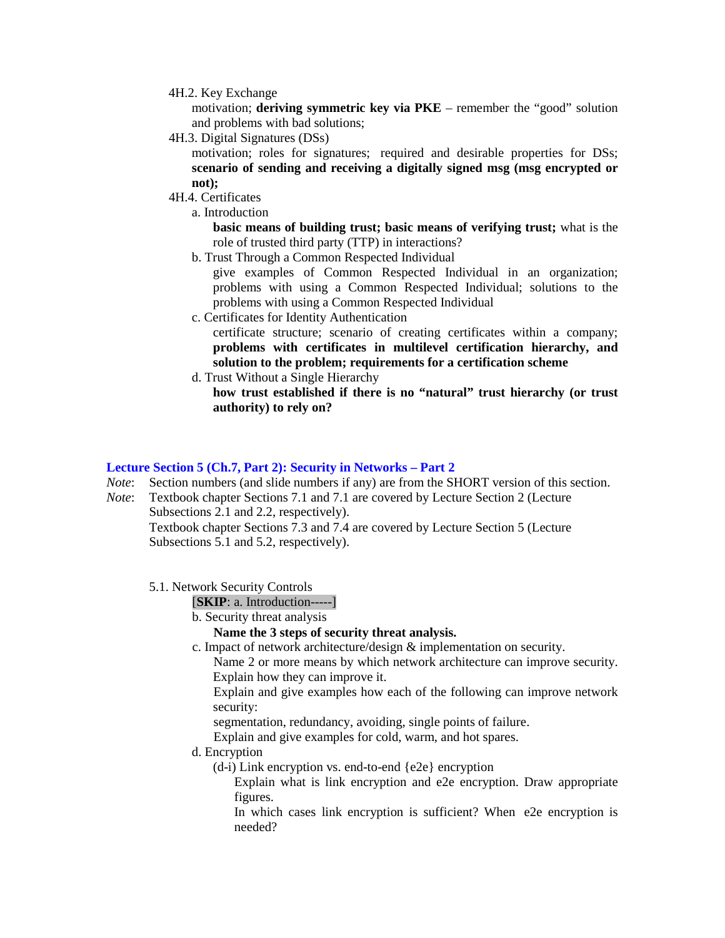### 4H.2. Key Exchange

motivation; **deriving symmetric key via PKE** – remember the "good" solution and problems with bad solutions;

4H.3. Digital Signatures (DSs)

motivation; roles for signatures; required and desirable properties for DSs; **scenario of sending and receiving a digitally signed msg (msg encrypted or not);** 

- 4H.4. Certificates
	- a. Introduction

**basic means of building trust; basic means of verifying trust;** what is the role of trusted third party (TTP) in interactions?

b. Trust Through a Common Respected Individual

give examples of Common Respected Individual in an organization; problems with using a Common Respected Individual; solutions to the problems with using a Common Respected Individual

- c. Certificates for Identity Authentication certificate structure; scenario of creating certificates within a company; **problems with certificates in multilevel certification hierarchy, and solution to the problem; requirements for a certification scheme**
- d. Trust Without a Single Hierarchy

**how trust established if there is no "natural" trust hierarchy (or trust authority) to rely on?** 

### **Lecture Section 5 (Ch.7, Part 2): Security in Networks – Part 2**

*Note*: Section numbers (and slide numbers if any) are from the SHORT version of this section.

*Note*: Textbook chapter Sections 7.1 and 7.1 are covered by Lecture Section 2 (Lecture Subsections 2.1 and 2.2, respectively).

Textbook chapter Sections 7.3 and 7.4 are covered by Lecture Section 5 (Lecture Subsections 5.1 and 5.2, respectively).

5.1. Network Security Controls

[**SKIP**: a. Introduction-----]

b. Security threat analysis

### **Name the 3 steps of security threat analysis.**

c. Impact of network architecture/design & implementation on security.

Name 2 or more means by which network architecture can improve security. Explain how they can improve it.

Explain and give examples how each of the following can improve network security:

segmentation, redundancy, avoiding, single points of failure.

Explain and give examples for cold, warm, and hot spares.

- d. Encryption
	- (d-i) Link encryption vs. end-to-end {e2e} encryption

Explain what is link encryption and e2e encryption. Draw appropriate figures.

In which cases link encryption is sufficient? When e2e encryption is needed?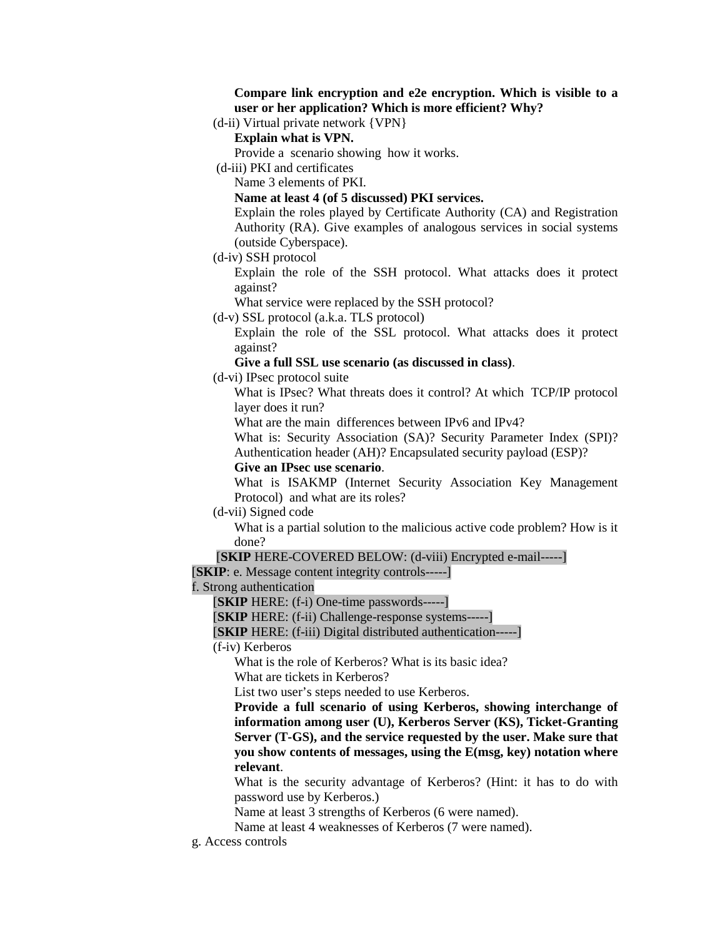**Compare link encryption and e2e encryption. Which is visible to a user or her application? Which is more efficient? Why?**

(d-ii) Virtual private network {VPN}

# **Explain what is VPN.**

Provide a scenario showing how it works.

(d-iii) PKI and certificates

Name 3 elements of PKI.

**Name at least 4 (of 5 discussed) PKI services.**

Explain the roles played by Certificate Authority (CA) and Registration Authority (RA). Give examples of analogous services in social systems (outside Cyberspace).

(d-iv) SSH protocol

Explain the role of the SSH protocol. What attacks does it protect against?

What service were replaced by the SSH protocol?

(d-v) SSL protocol (a.k.a. TLS protocol)

Explain the role of the SSL protocol. What attacks does it protect against?

**Give a full SSL use scenario (as discussed in class)**.

(d-vi) IPsec protocol suite

What is IPsec? What threats does it control? At which TCP/IP protocol layer does it run?

What are the main differences between IPv6 and IPv4?

What is: Security Association (SA)? Security Parameter Index (SPI)? Authentication header (AH)? Encapsulated security payload (ESP)?

**Give an IPsec use scenario**.

What is ISAKMP (Internet Security Association Key Management Protocol) and what are its roles?

(d-vii) Signed code

What is a partial solution to the malicious active code problem? How is it done?

[**SKIP** HERE-COVERED BELOW: (d-viii) Encrypted e-mail-----]

[**SKIP**: e. Message content integrity controls-----]

f. Strong authentication

[**SKIP** HERE: (f-i) One-time passwords-----]

[**SKIP** HERE: (f-ii) Challenge-response systems-----]

[**SKIP** HERE: (f-iii) Digital distributed authentication-----]

(f-iv) Kerberos

What is the role of Kerberos? What is its basic idea?

What are tickets in Kerberos?

List two user's steps needed to use Kerberos.

**Provide a full scenario of using Kerberos, showing interchange of information among user (U), Kerberos Server (KS), Ticket-Granting Server (T-GS), and the service requested by the user. Make sure that you show contents of messages, using the E(msg, key) notation where relevant**.

What is the security advantage of Kerberos? (Hint: it has to do with password use by Kerberos.)

Name at least 3 strengths of Kerberos (6 were named).

Name at least 4 weaknesses of Kerberos (7 were named).

g. Access controls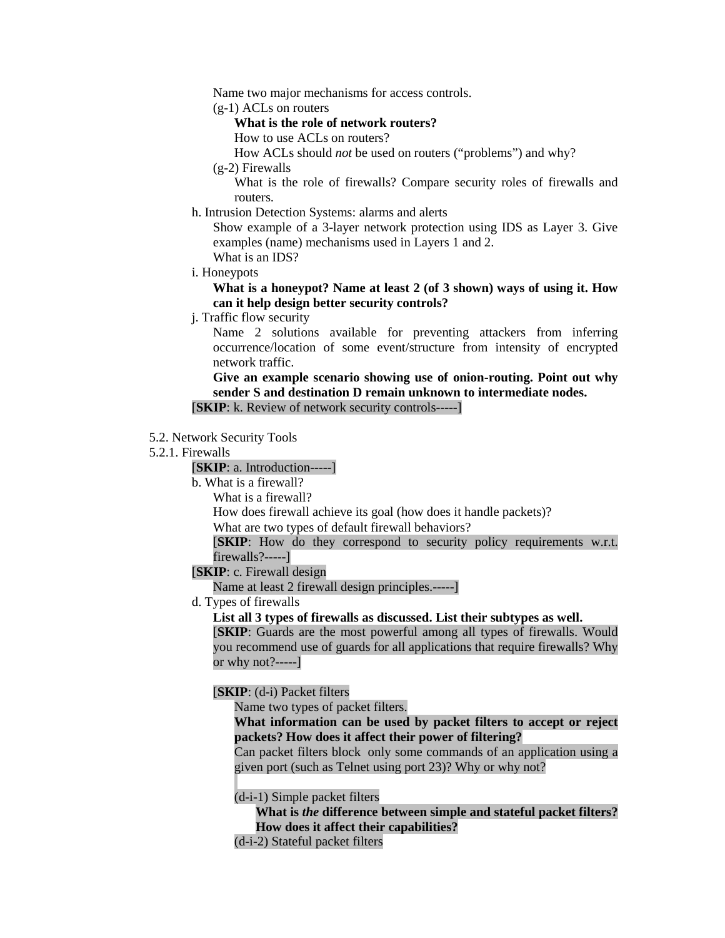Name two major mechanisms for access controls.

(g-1) ACLs on routers

## **What is the role of network routers?**

How to use ACLs on routers?

How ACLs should *not* be used on routers ("problems") and why?

(g-2) Firewalls

What is the role of firewalls? Compare security roles of firewalls and routers.

h. Intrusion Detection Systems: alarms and alerts

Show example of a 3-layer network protection using IDS as Layer 3. Give examples (name) mechanisms used in Layers 1 and 2. What is an IDS?

i. Honeypots

## **What is a honeypot? Name at least 2 (of 3 shown) ways of using it. How can it help design better security controls?**

j. Traffic flow security

Name 2 solutions available for preventing attackers from inferring occurrence/location of some event/structure from intensity of encrypted network traffic.

**Give an example scenario showing use of onion-routing. Point out why sender S and destination D remain unknown to intermediate nodes.**

[**SKIP**: k. Review of network security controls-----]

5.2. Network Security Tools

## 5.2.1. Firewalls

[**SKIP**: a. Introduction-----]

- b. What is a firewall?
	- What is a firewall?

How does firewall achieve its goal (how does it handle packets)?

What are two types of default firewall behaviors?

[**SKIP**: How do they correspond to security policy requirements w.r.t. firewalls?-----]

[**SKIP**: c. Firewall design

Name at least 2 firewall design principles.-----]

d. Types of firewalls

**List all 3 types of firewalls as discussed. List their subtypes as well.**

[**SKIP**: Guards are the most powerful among all types of firewalls. Would you recommend use of guards for all applications that require firewalls? Why or why not?-----]

[**SKIP**: (d-i) Packet filters

Name two types of packet filters.

# **What information can be used by packet filters to accept or reject packets? How does it affect their power of filtering?**

Can packet filters block only some commands of an application using a given port (such as Telnet using port 23)? Why or why not?

(d-i-1) Simple packet filters

**What is** *the* **difference between simple and stateful packet filters? How does it affect their capabilities?**

(d-i-2) Stateful packet filters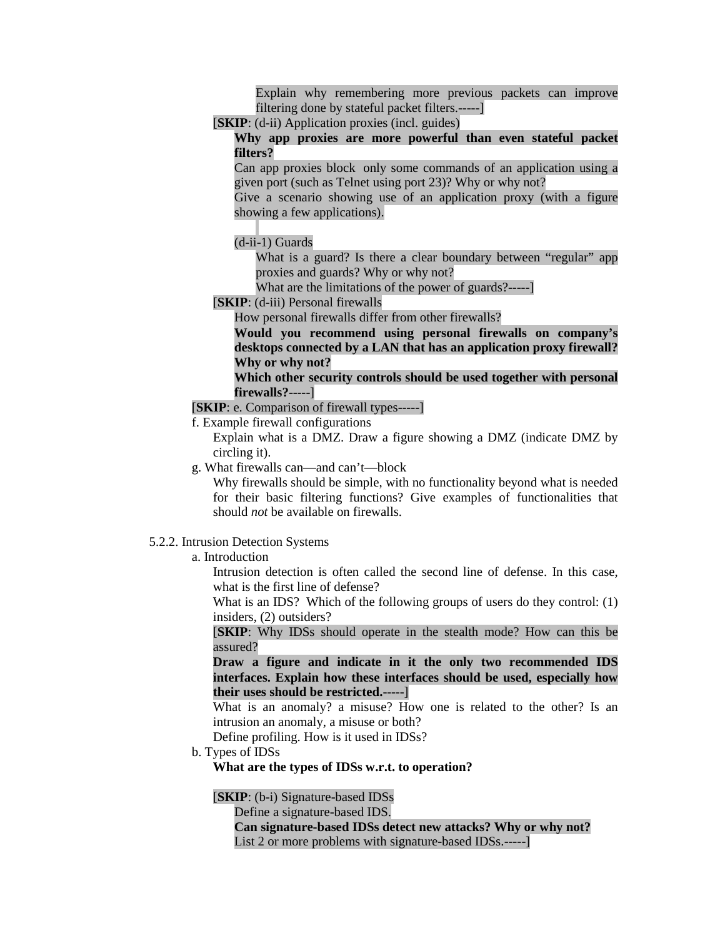Explain why remembering more previous packets can improve filtering done by stateful packet filters.-----]

[**SKIP**: (d-ii) Application proxies (incl. guides)

**Why app proxies are more powerful than even stateful packet filters?**

Can app proxies block only some commands of an application using a given port (such as Telnet using port 23)? Why or why not?

Give a scenario showing use of an application proxy (with a figure showing a few applications).

(d-ii-1) Guards

What is a guard? Is there a clear boundary between "regular" app proxies and guards? Why or why not?

What are the limitations of the power of guards?-----]

[**SKIP**: (d-iii) Personal firewalls

How personal firewalls differ from other firewalls?

**Would you recommend using personal firewalls on company's desktops connected by a LAN that has an application proxy firewall? Why or why not?**

**Which other security controls should be used together with personal firewalls?**-----]

[**SKIP**: e. Comparison of firewall types-----]

f. Example firewall configurations

Explain what is a DMZ. Draw a figure showing a DMZ (indicate DMZ by circling it).

g. What firewalls can—and can't—block

Why firewalls should be simple, with no functionality beyond what is needed for their basic filtering functions? Give examples of functionalities that should *not* be available on firewalls.

### 5.2.2. Intrusion Detection Systems

a. Introduction

Intrusion detection is often called the second line of defense. In this case, what is the first line of defense?

What is an IDS? Which of the following groups of users do they control: (1) insiders, (2) outsiders?

[**SKIP**: Why IDSs should operate in the stealth mode? How can this be assured?

**Draw a figure and indicate in it the only two recommended IDS interfaces. Explain how these interfaces should be used, especially how their uses should be restricted.**-----]

What is an anomaly? a misuse? How one is related to the other? Is an intrusion an anomaly, a misuse or both?

Define profiling. How is it used in IDSs?

b. Types of IDSs

**What are the types of IDSs w.r.t. to operation?**

[**SKIP**: (b-i) Signature-based IDSs

Define a signature-based IDS.

**Can signature-based IDSs detect new attacks? Why or why not?** List 2 or more problems with signature-based IDSs.-----]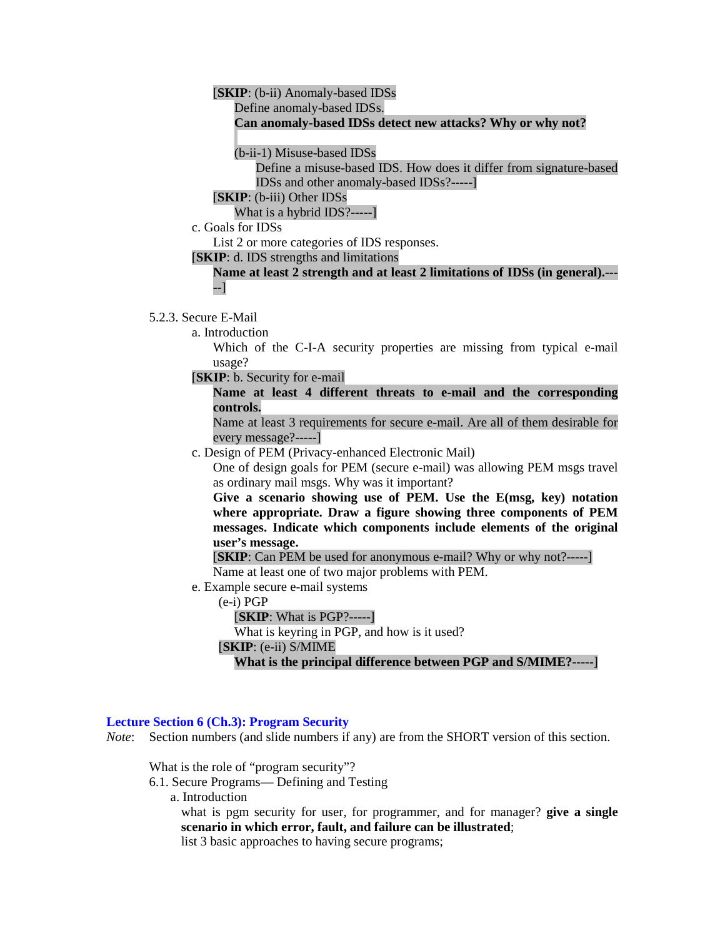# [**SKIP**: (b-ii) Anomaly-based IDSs

Define anomaly-based IDSs.

#### **Can anomaly-based IDSs detect new attacks? Why or why not?**

(b-ii-1) Misuse-based IDSs

Define a misuse-based IDS. How does it differ from signature-based IDSs and other anomaly-based IDSs?-----]

[**SKIP**: (b-iii) Other IDSs

What is a hybrid IDS?-----]

c. Goals for IDSs

List 2 or more categories of IDS responses.

[**SKIP**: d. IDS strengths and limitations

### **Name at least 2 strength and at least 2 limitations of IDSs (in general).**--- --]

### 5.2.3. Secure E-Mail

a. Introduction

Which of the C-I-A security properties are missing from typical e-mail usage?

- [**SKIP**: b. Security for e-mail
	- **Name at least 4 different threats to e-mail and the corresponding controls.**

Name at least 3 requirements for secure e-mail. Are all of them desirable for every message?-----]

c. Design of PEM (Privacy-enhanced Electronic Mail)

One of design goals for PEM (secure e-mail) was allowing PEM msgs travel as ordinary mail msgs. Why was it important?

**Give a scenario showing use of PEM. Use the E(msg, key) notation where appropriate. Draw a figure showing three components of PEM messages. Indicate which components include elements of the original user's message.**

[**SKIP**: Can PEM be used for anonymous e-mail? Why or why not?-----]

Name at least one of two major problems with PEM.

- e. Example secure e-mail systems
	- (e-i) PGP

[**SKIP**: What is PGP?-----]

What is keyring in PGP, and how is it used?

[**SKIP**: (e-ii) S/MIME

**What is the principal difference between PGP and S/MIME?**-----]

### **Lecture Section 6 (Ch.3): Program Security**

*Note*: Section numbers (and slide numbers if any) are from the SHORT version of this section.

What is the role of "program security"?

6.1. Secure Programs— Defining and Testing

a. Introduction

what is pgm security for user, for programmer, and for manager? **give a single scenario in which error, fault, and failure can be illustrated**;

list 3 basic approaches to having secure programs;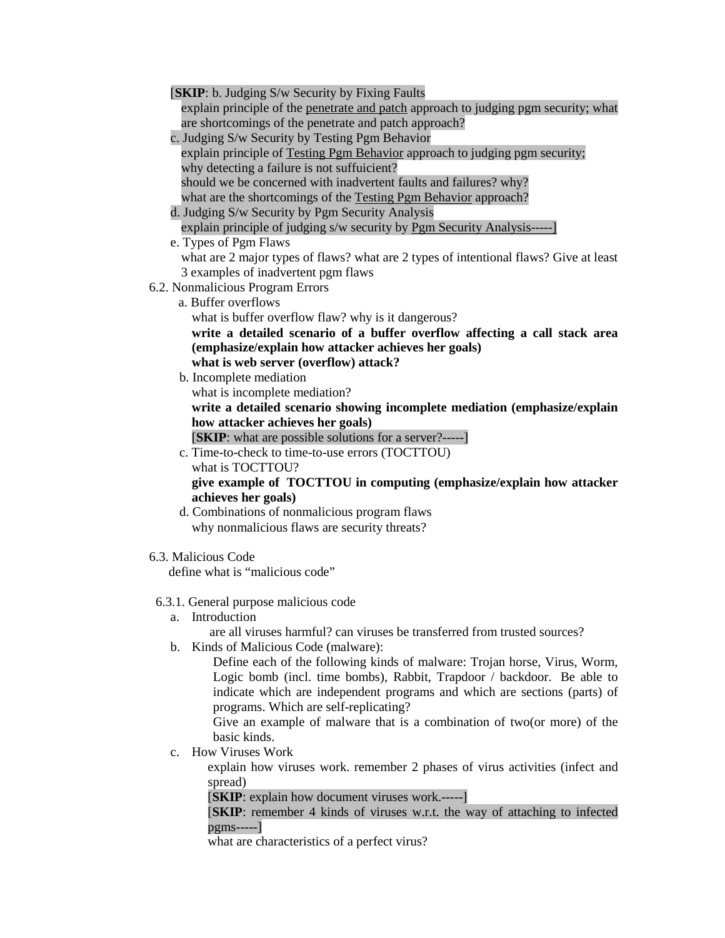| [SKIP: b. Judging S/w Security by Fixing Faults]                                                                                                    |
|-----------------------------------------------------------------------------------------------------------------------------------------------------|
| explain principle of the penetrate and patch approach to judging pgm security; what                                                                 |
| are shortcomings of the penetrate and patch approach?                                                                                               |
| c. Judging S/w Security by Testing Pgm Behavior                                                                                                     |
| explain principle of Testing Pgm Behavior approach to judging pgm security;                                                                         |
| why detecting a failure is not suffuicient?                                                                                                         |
| should we be concerned with inadvertent faults and failures? why?                                                                                   |
| what are the shortcomings of the Testing Pgm Behavior approach?                                                                                     |
| d. Judging S/w Security by Pgm Security Analysis                                                                                                    |
| explain principle of judging s/w security by Pgm Security Analysis-----]                                                                            |
| e. Types of Pgm Flaws                                                                                                                               |
| what are 2 major types of flaws? what are 2 types of intentional flaws? Give at least                                                               |
| 3 examples of inadvertent pgm flaws                                                                                                                 |
| 6.2. Nonmalicious Program Errors                                                                                                                    |
| a. Buffer overflows                                                                                                                                 |
| what is buffer overflow flaw? why is it dangerous?                                                                                                  |
| write a detailed scenario of a buffer overflow affecting a call stack area<br>(emphasize/explain how attacker achieves her goals)                   |
| what is web server (overflow) attack?                                                                                                               |
| b. Incomplete mediation                                                                                                                             |
| what is incomplete mediation?                                                                                                                       |
| write a detailed scenario showing incomplete mediation (emphasize/explain                                                                           |
| how attacker achieves her goals)                                                                                                                    |
| [SKIP: what are possible solutions for a server?-----]                                                                                              |
| c. Time-to-check to time-to-use errors (TOCTTOU)                                                                                                    |
| what is TOCTTOU?                                                                                                                                    |
| give example of TOCTTOU in computing (emphasize/explain how attacker                                                                                |
| achieves her goals)                                                                                                                                 |
| d. Combinations of nonmalicious program flaws                                                                                                       |
| why nonmalicious flaws are security threats?                                                                                                        |
|                                                                                                                                                     |
| 6.3. Malicious Code                                                                                                                                 |
| define what is "malicious code"                                                                                                                     |
|                                                                                                                                                     |
| 6.3.1. General purpose malicious code                                                                                                               |
| Introduction<br>a.                                                                                                                                  |
| are all viruses harmful? can viruses be transferred from trusted sources?                                                                           |
| Kinds of Malicious Code (malware):<br>b.                                                                                                            |
| Define each of the following kinds of malware: Trojan horse, Virus, Worm,<br>Logic bomb (incl. time bombs), Rabbit, Trapdoor / backdoor. Be able to |
|                                                                                                                                                     |
| indicate which are independent programs and which are sections (parts) of<br>programs. Which are self-replicating?                                  |
| Give an example of malware that is a combination of two (or more) of the                                                                            |
| basic kinds.                                                                                                                                        |

c. How Viruses Work

explain how viruses work. remember 2 phases of virus activities (infect and spread)

[**SKIP**: explain how document viruses work.-----]

[**SKIP**: remember 4 kinds of viruses w.r.t. the way of attaching to infected pgms-----]

what are characteristics of a perfect virus?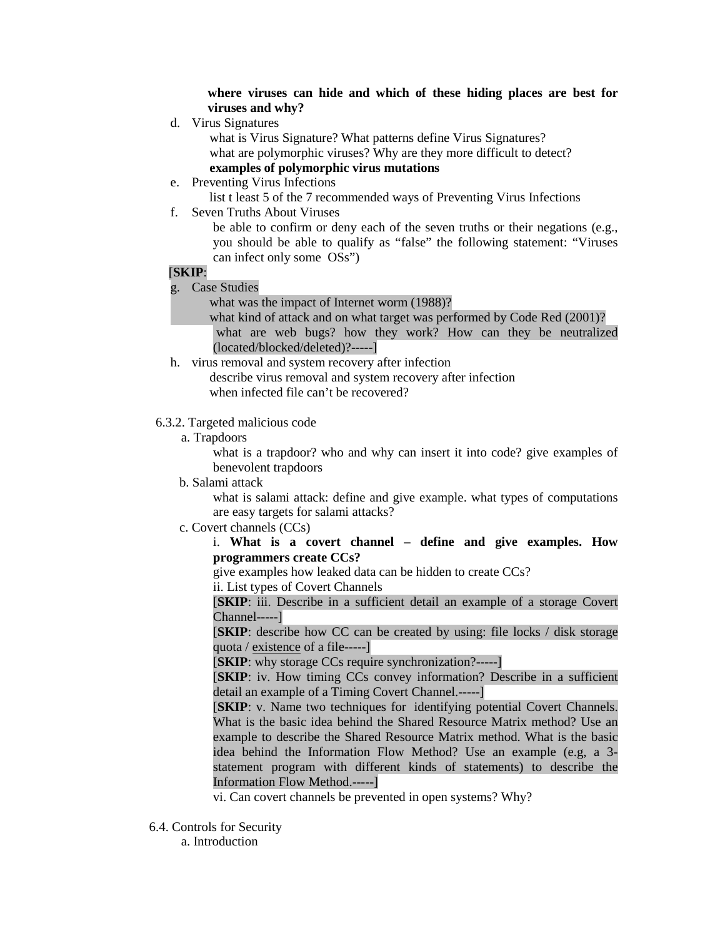**where viruses can hide and which of these hiding places are best for viruses and why?** 

d. Virus Signatures

 what is Virus Signature? What patterns define Virus Signatures? what are polymorphic viruses? Why are they more difficult to detect?  **examples of polymorphic virus mutations**

e. Preventing Virus Infections

list t least 5 of the 7 recommended ways of Preventing Virus Infections

f. Seven Truths About Viruses

be able to confirm or deny each of the seven truths or their negations (e.g., you should be able to qualify as "false" the following statement: "Viruses can infect only some OSs")

# [**SKIP**:

g. Case Studies

what was the impact of Internet worm (1988)?

 what kind of attack and on what target was performed by Code Red (2001)? what are web bugs? how they work? How can they be neutralized (located/blocked/deleted)?-----]

h. virus removal and system recovery after infection describe virus removal and system recovery after infection when infected file can't be recovered?

## 6.3.2. Targeted malicious code

a. Trapdoors

what is a trapdoor? who and why can insert it into code? give examples of benevolent trapdoors

b. Salami attack

what is salami attack: define and give example. what types of computations are easy targets for salami attacks?

c. Covert channels (CCs)

## i. **What is a covert channel – define and give examples. How programmers create CCs?**

give examples how leaked data can be hidden to create CCs?

ii. List types of Covert Channels

[**SKIP**: iii. Describe in a sufficient detail an example of a storage Covert Channel-----]

[**SKIP**: describe how CC can be created by using: file locks / disk storage quota / existence of a file-----]

[**SKIP**: why storage CCs require synchronization?-----]

[**SKIP**: iv. How timing CCs convey information? Describe in a sufficient detail an example of a Timing Covert Channel.-----]

[**SKIP**: v. Name two techniques for identifying potential Covert Channels. What is the basic idea behind the Shared Resource Matrix method? Use an example to describe the Shared Resource Matrix method. What is the basic idea behind the Information Flow Method? Use an example (e.g, a 3 statement program with different kinds of statements) to describe the Information Flow Method.-----]

vi. Can covert channels be prevented in open systems? Why?

6.4. Controls for Security

a. Introduction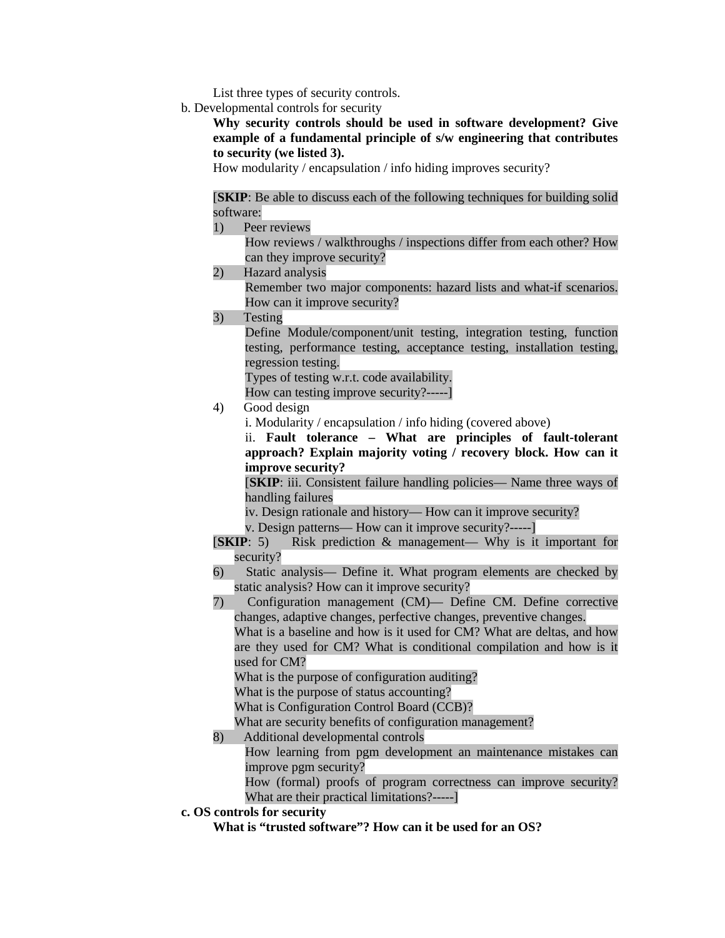List three types of security controls.

b. Developmental controls for security

**Why security controls should be used in software development? Give example of a fundamental principle of s/w engineering that contributes to security (we listed 3).** 

How modularity / encapsulation / info hiding improves security?

[**SKIP**: Be able to discuss each of the following techniques for building solid software:

1) Peer reviews

How reviews / walkthroughs / inspections differ from each other? How can they improve security?

2) Hazard analysis

Remember two major components: hazard lists and what-if scenarios. How can it improve security?

3) Testing

Define Module/component/unit testing, integration testing, function testing, performance testing, acceptance testing, installation testing, regression testing.

Types of testing w.r.t. code availability.

How can testing improve security?-----]

- 4) Good design
	- i. Modularity / encapsulation / info hiding (covered above)

ii. **Fault tolerance – What are principles of fault-tolerant approach? Explain majority voting / recovery block. How can it improve security?** 

[**SKIP**: iii. Consistent failure handling policies— Name three ways of handling failures

- iv. Design rationale and history— How can it improve security?
- v. Design patterns— How can it improve security?-----]
- [**SKIP**: 5) Risk prediction & management— Why is it important for security?
- 6) Static analysis— Define it. What program elements are checked by static analysis? How can it improve security?
- 7) Configuration management (CM)— Define CM. Define corrective changes, adaptive changes, perfective changes, preventive changes.

What is a baseline and how is it used for CM? What are deltas, and how are they used for CM? What is conditional compilation and how is it used for CM?

What is the purpose of configuration auditing?

What is the purpose of status accounting?

What is Configuration Control Board (CCB)?

What are security benefits of configuration management?

8) Additional developmental controls

How learning from pgm development an maintenance mistakes can improve pgm security?

How (formal) proofs of program correctness can improve security? What are their practical limitations?-----]

**c. OS controls for security** 

**What is "trusted software"? How can it be used for an OS?**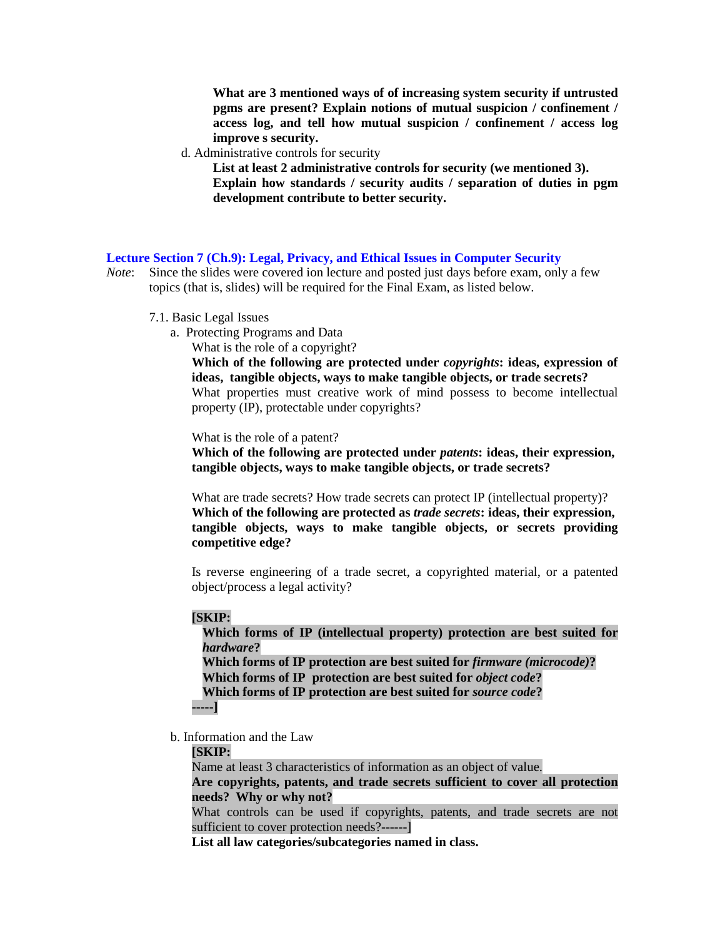**What are 3 mentioned ways of of increasing system security if untrusted pgms are present? Explain notions of mutual suspicion / confinement / access log, and tell how mutual suspicion / confinement / access log improve s security.** 

d. Administrative controls for security

**List at least 2 administrative controls for security (we mentioned 3). Explain how standards / security audits / separation of duties in pgm development contribute to better security.** 

### **Lecture Section 7 (Ch.9): Legal, Privacy, and Ethical Issues in Computer Security**

- *Note*: Since the slides were covered ion lecture and posted just days before exam, only a few topics (that is, slides) will be required for the Final Exam, as listed below.
	- 7.1. Basic Legal Issues
		- a. Protecting Programs and Data
			- What is the role of a copyright?

**Which of the following are protected under** *copyrights***: ideas, expression of ideas, tangible objects, ways to make tangible objects, or trade secrets?** What properties must creative work of mind possess to become intellectual property (IP), protectable under copyrights?

What is the role of a patent?

**Which of the following are protected under** *patents***: ideas, their expression, tangible objects, ways to make tangible objects, or trade secrets?**

What are trade secrets? How trade secrets can protect IP (intellectual property)? **Which of the following are protected as** *trade secrets***: ideas, their expression, tangible objects, ways to make tangible objects, or secrets providing competitive edge?**

Is reverse engineering of a trade secret, a copyrighted material, or a patented object/process a legal activity?

### **[SKIP:**

**Which forms of IP (intellectual property) protection are best suited for**  *hardware***? Which forms of IP protection are best suited for** *firmware (microcode)***? Which forms of IP protection are best suited for** *object code***? Which forms of IP protection are best suited for** *source code***? -----]**

b. Information and the Law

### **[SKIP:**

Name at least 3 characteristics of information as an object of value. **Are copyrights, patents, and trade secrets sufficient to cover all protection needs? Why or why not?**

What controls can be used if copyrights, patents, and trade secrets are not sufficient to cover protection needs?------]

**List all law categories/subcategories named in class.**